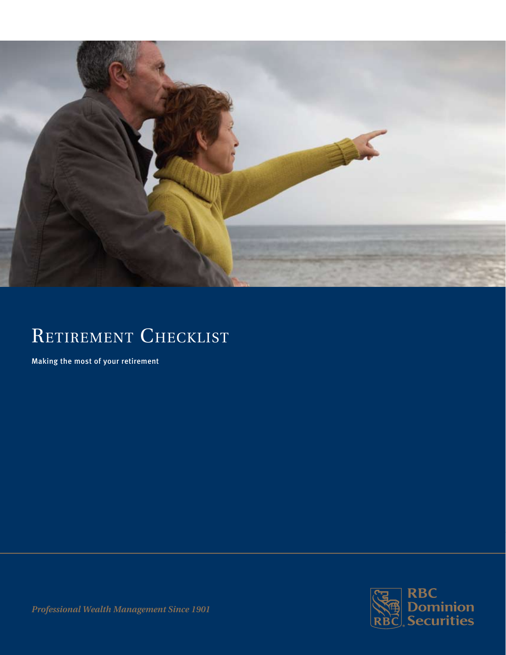

# RETIREMENT CHECKLIST

Making the most of your retirement



*Professional Wealth Management Since 1901*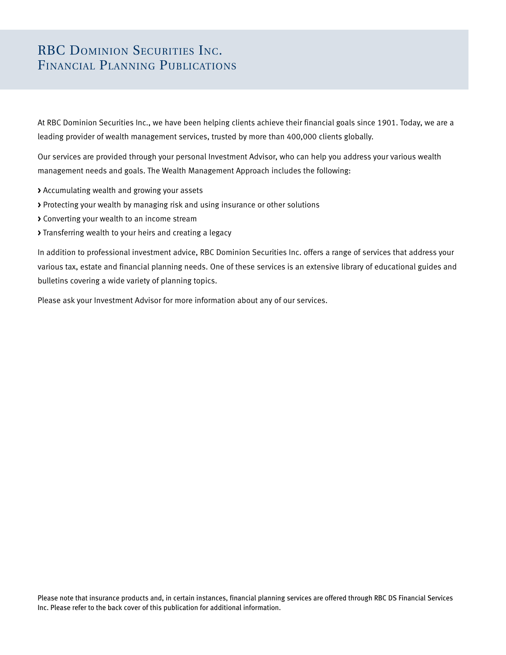# RBC DOMINION SECURITIES INC. Financial Planning Publications

At RBC Dominion Securities Inc., we have been helping clients achieve their financial goals since 1901. Today, we are a leading provider of wealth management services, trusted by more than 400,000 clients globally.

Our services are provided through your personal Investment Advisor, who can help you address your various wealth management needs and goals. The Wealth Management Approach includes the following:

- **>** Accumulating wealth and growing your assets
- **>** Protecting your wealth by managing risk and using insurance or other solutions
- **>** Converting your wealth to an income stream
- **>** Transferring wealth to your heirs and creating a legacy

In addition to professional investment advice, RBC Dominion Securities Inc. offers a range of services that address your various tax, estate and financial planning needs. One of these services is an extensive library of educational guides and bulletins covering a wide variety of planning topics.

Please ask your Investment Advisor for more information about any of our services.

Please note that insurance products and, in certain instances, financial planning services are offered through RBC DS Financial Services Inc. Please refer to the back cover of this publication for additional information.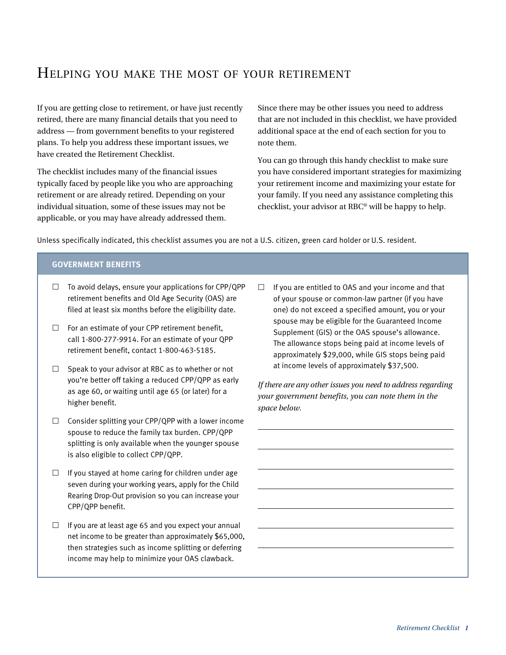# Helping you make the most of your retirement

If you are getting close to retirement, or have just recently retired, there are many financial details that you need to address — from government benefits to your registered plans. To help you address these important issues, we have created the Retirement Checklist.

The checklist includes many of the financial issues typically faced by people like you who are approaching retirement or are already retired. Depending on your individual situation, some of these issues may not be applicable, or you may have already addressed them.

Since there may be other issues you need to address that are not included in this checklist, we have provided additional space at the end of each section for you to note them.

You can go through this handy checklist to make sure you have considered important strategies for maximizing your retirement income and maximizing your estate for your family. If you need any assistance completing this checklist, your advisor at RBC® will be happy to help.

Unless specifically indicated, this checklist assumes you are not a U.S. citizen, green card holder or U.S. resident.

## **Government benefits**

- $\Box$  To avoid delays, ensure your applications for CPP/QPP retirement benefits and Old Age Security (OAS) are filed at least six months before the eligibility date.
- $\Box$  For an estimate of your CPP retirement benefit, call 1-800-277-9914. For an estimate of your QPP retirement benefit, contact 1-800-463-5185.
- $\Box$  Speak to your advisor at RBC as to whether or not you're better off taking a reduced CPP/QPP as early as age 60, or waiting until age 65 (or later) for a higher benefit.
- $\Box$  Consider splitting your CPP/QPP with a lower income spouse to reduce the family tax burden. CPP/QPP splitting is only available when the younger spouse is also eligible to collect CPP/QPP.
- $\Box$  If you stayed at home caring for children under age seven during your working years, apply for the Child Rearing Drop-Out provision so you can increase your CPP/QPP benefit.
- $\Box$  If you are at least age 65 and you expect your annual net income to be greater than approximately \$65,000, then strategies such as income splitting or deferring income may help to minimize your OAS clawback.

 $\Box$  If you are entitled to OAS and your income and that of your spouse or common-law partner (if you have one) do not exceed a specified amount, you or your spouse may be eligible for the Guaranteed Income Supplement (GIS) or the OAS spouse's allowance. The allowance stops being paid at income levels of approximately \$29,000, while GIS stops being paid at income levels of approximately \$37,500.

*If there are any other issues you need to address regarding your government benefits, you can note them in the space below.*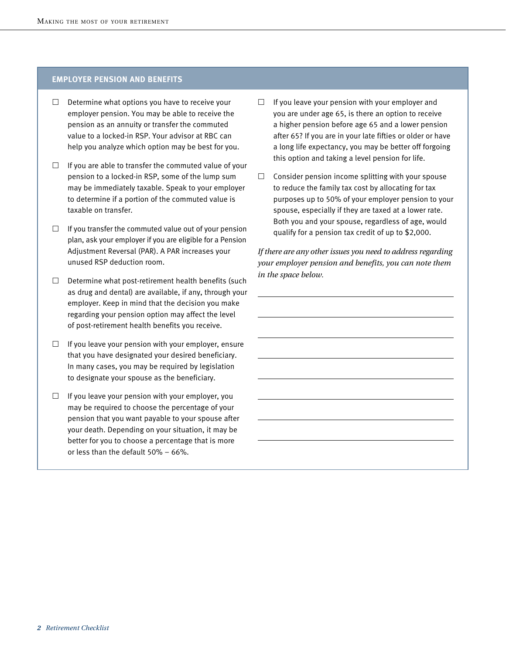## **Employer pension and benefits**

- $\Box$  Determine what options you have to receive your employer pension. You may be able to receive the pension as an annuity or transfer the commuted value to a locked-in RSP. Your advisor at RBC can help you analyze which option may be best for you.
- $\Box$  If you are able to transfer the commuted value of your pension to a locked-in RSP, some of the lump sum may be immediately taxable. Speak to your employer to determine if a portion of the commuted value is taxable on transfer.
- $\Box$  If you transfer the commuted value out of your pension plan, ask your employer if you are eligible for a Pension Adjustment Reversal (PAR). A PAR increases your unused RSP deduction room.
- $\Box$  Determine what post-retirement health benefits (such as drug and dental) are available, if any, through your employer. Keep in mind that the decision you make regarding your pension option may affect the level of post-retirement health benefits you receive.
- $\Box$  If you leave your pension with your employer, ensure that you have designated your desired beneficiary. In many cases, you may be required by legislation to designate your spouse as the beneficiary.
- $\Box$  If you leave your pension with your employer, you may be required to choose the percentage of your pension that you want payable to your spouse after your death. Depending on your situation, it may be better for you to choose a percentage that is more or less than the default 50% – 66%.
- $\Box$  If you leave your pension with your employer and you are under age 65, is there an option to receive a higher pension before age 65 and a lower pension after 65? If you are in your late fifties or older or have a long life expectancy, you may be better off forgoing this option and taking a level pension for life.
- $\square$  Consider pension income splitting with your spouse to reduce the family tax cost by allocating for tax purposes up to 50% of your employer pension to your spouse, especially if they are taxed at a lower rate. Both you and your spouse, regardless of age, would qualify for a pension tax credit of up to \$2,000.

*If there are any other issues you need to address regarding your employer pension and benefits, you can note them in the space below.*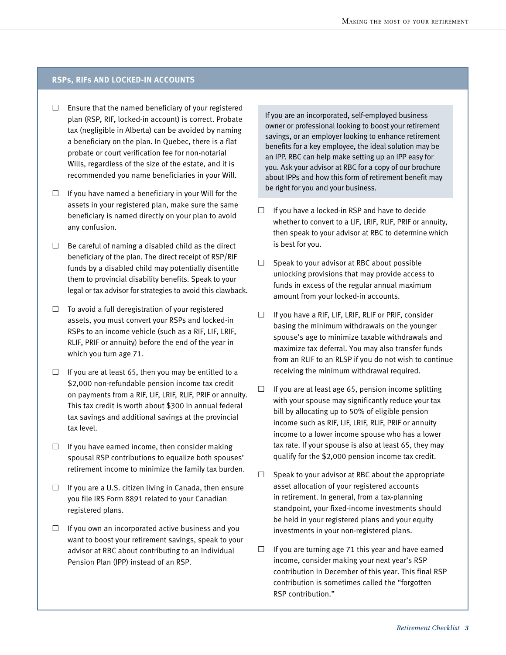#### **RSPs, RIFs and Locked-In Accounts**

- $\square$  Ensure that the named beneficiary of your registered plan (RSP, RIF, locked-in account) is correct. Probate tax (negligible in Alberta) can be avoided by naming a beneficiary on the plan. In Quebec, there is a flat probate or court verification fee for non-notarial Wills, regardless of the size of the estate, and it is recommended you name beneficiaries in your Will.
- $\Box$  If you have named a beneficiary in your Will for the assets in your registered plan, make sure the same beneficiary is named directly on your plan to avoid any confusion.
- $\Box$  Be careful of naming a disabled child as the direct beneficiary of the plan. The direct receipt of RSP/RIF funds by a disabled child may potentially disentitle them to provincial disability benefits. Speak to your legal or tax advisor for strategies to avoid this clawback.
- $\Box$  To avoid a full deregistration of your registered assets, you must convert your RSPs and locked-in RSPs to an income vehicle (such as a RIF, LIF, LRIF, RLIF, PRIF or annuity) before the end of the year in which you turn age 71.
- $\Box$  If you are at least 65, then you may be entitled to a \$2,000 non-refundable pension income tax credit on payments from a RIF, LIF, LRIF, RLIF, PRIF or annuity. This tax credit is worth about \$300 in annual federal tax savings and additional savings at the provincial tax level.
- $\Box$  If you have earned income, then consider making spousal RSP contributions to equalize both spouses' retirement income to minimize the family tax burden.
- $\Box$  If you are a U.S. citizen living in Canada, then ensure you file IRS Form 8891 related to your Canadian registered plans.
- $\Box$  If you own an incorporated active business and you want to boost your retirement savings, speak to your advisor at RBC about contributing to an Individual Pension Plan (IPP) instead of an RSP.

If you are an incorporated, self-employed business owner or professional looking to boost your retirement savings, or an employer looking to enhance retirement benefits for a key employee, the ideal solution may be an IPP. RBC can help make setting up an IPP easy for you. Ask your advisor at RBC for a copy of our brochure about IPPs and how this form of retirement benefit may be right for you and your business.

- $\Box$  If you have a locked-in RSP and have to decide whether to convert to a LIF, LRIF, RLIF, PRIF or annuity, then speak to your advisor at RBC to determine which is best for you.
- $\Box$  Speak to your advisor at RBC about possible unlocking provisions that may provide access to funds in excess of the regular annual maximum amount from your locked-in accounts.
- $\Box$  If you have a RIF, LIF, LRIF, RLIF or PRIF, consider basing the minimum withdrawals on the younger spouse's age to minimize taxable withdrawals and maximize tax deferral. You may also transfer funds from an RLIF to an RLSP if you do not wish to continue receiving the minimum withdrawal required.
- $\Box$  If you are at least age 65, pension income splitting with your spouse may significantly reduce your tax bill by allocating up to 50% of eligible pension income such as RIF, LIF, LRIF, RLIF, PRIF or annuity income to a lower income spouse who has a lower tax rate. If your spouse is also at least 65, they may qualify for the \$2,000 pension income tax credit.
- $\Box$  Speak to your advisor at RBC about the appropriate asset allocation of your registered accounts in retirement. In general, from a tax-planning standpoint, your fixed-income investments should be held in your registered plans and your equity investments in your non-registered plans.
- $\Box$  If you are turning age 71 this year and have earned income, consider making your next year's RSP contribution in December of this year. This final RSP contribution is sometimes called the "forgotten RSP contribution."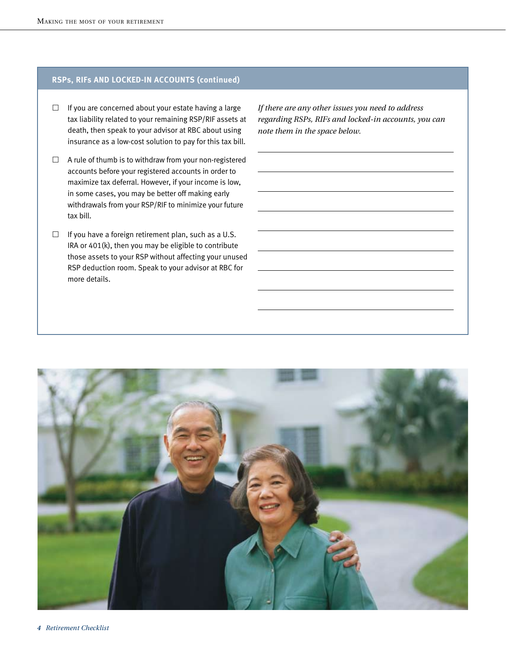# **RSPs, RIFs and Locked-In Accounts (continued)**

- $\Box$  If you are concerned about your estate having a large tax liability related to your remaining RSP/RIF assets at death, then speak to your advisor at RBC about using insurance as a low-cost solution to pay for this tax bill.
- $\Box$  A rule of thumb is to withdraw from your non-registered accounts before your registered accounts in order to maximize tax deferral. However, if your income is low, in some cases, you may be better off making early withdrawals from your RSP/RIF to minimize your future tax bill.
- $\Box$  If you have a foreign retirement plan, such as a U.S. IRA or 401(k), then you may be eligible to contribute those assets to your RSP without affecting your unused RSP deduction room. Speak to your advisor at RBC for more details.

*If there are any other issues you need to address regarding RSPs, RIFs and locked-in accounts, you can note them in the space below.*

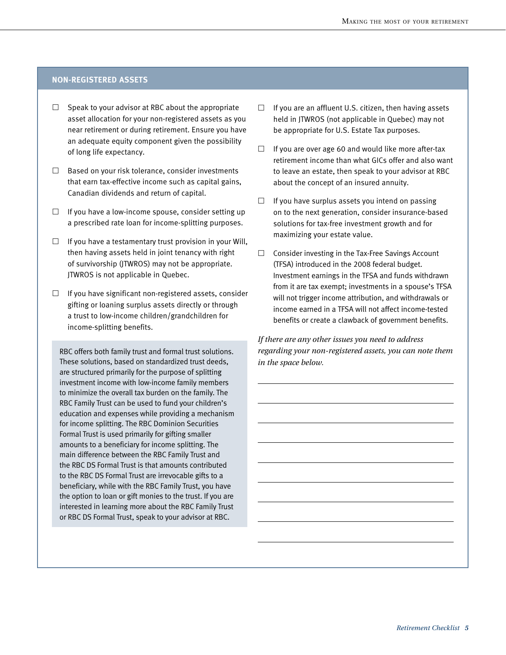## **Non-registered assets**

- $\Box$  Speak to your advisor at RBC about the appropriate asset allocation for your non-registered assets as you near retirement or during retirement. Ensure you have an adequate equity component given the possibility of long life expectancy.
- $\Box$  Based on your risk tolerance, consider investments that earn tax-effective income such as capital gains, Canadian dividends and return of capital.
- $\Box$  If you have a low-income spouse, consider setting up a prescribed rate loan for income-splitting purposes.
- $\Box$  If you have a testamentary trust provision in your Will, then having assets held in joint tenancy with right of survivorship (JTWROS) may not be appropriate. JTWROS is not applicable in Quebec.
- $\Box$  If you have significant non-registered assets, consider gifting or loaning surplus assets directly or through a trust to low-income children/grandchildren for income-splitting benefits.

RBC offers both family trust and formal trust solutions. These solutions, based on standardized trust deeds, are structured primarily for the purpose of splitting investment income with low-income family members to minimize the overall tax burden on the family. The RBC Family Trust can be used to fund your children's education and expenses while providing a mechanism for income splitting. The RBC Dominion Securities Formal Trust is used primarily for gifting smaller amounts to a beneficiary for income splitting. The main difference between the RBC Family Trust and the RBC DS Formal Trust is that amounts contributed to the RBC DS Formal Trust are irrevocable gifts to a beneficiary, while with the RBC Family Trust, you have the option to loan or gift monies to the trust. If you are interested in learning more about the RBC Family Trust or RBC DS Formal Trust, speak to your advisor at RBC.

- $\Box$  If you are an affluent U.S. citizen, then having assets held in JTWROS (not applicable in Quebec) may not be appropriate for U.S. Estate Tax purposes.
- $\Box$  If you are over age 60 and would like more after-tax retirement income than what GICs offer and also want to leave an estate, then speak to your advisor at RBC about the concept of an insured annuity.
- $\Box$  If you have surplus assets you intend on passing on to the next generation, consider insurance-based solutions for tax-free investment growth and for maximizing your estate value.
- $\Box$  Consider investing in the Tax-Free Savings Account (TFSA) introduced in the 2008 federal budget. Investment earnings in the TFSA and funds withdrawn from it are tax exempt; investments in a spouse's TFSA will not trigger income attribution, and withdrawals or income earned in a TFSA will not affect income-tested benefits or create a clawback of government benefits.

*If there are any other issues you need to address regarding your non-registered assets, you can note them in the space below.*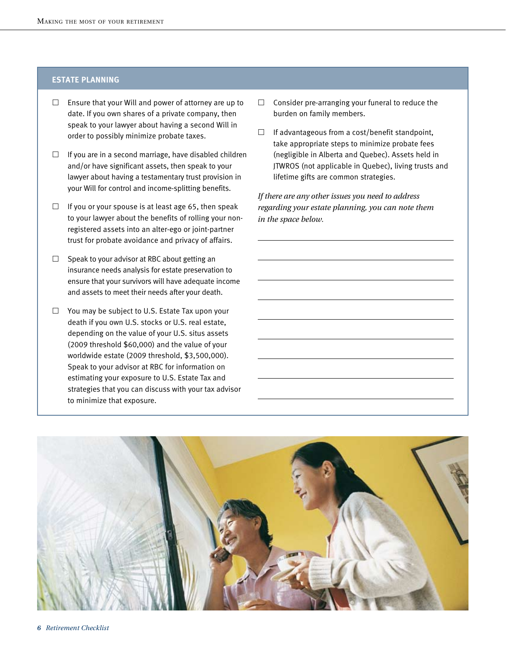# **estate planning**

- $\Box$  Ensure that your Will and power of attorney are up to date. If you own shares of a private company, then speak to your lawyer about having a second Will in order to possibly minimize probate taxes.
- $\Box$  If you are in a second marriage, have disabled children and/or have significant assets, then speak to your lawyer about having a testamentary trust provision in your Will for control and income-splitting benefits.
- $\Box$  If you or your spouse is at least age 65, then speak to your lawyer about the benefits of rolling your nonregistered assets into an alter-ego or joint-partner trust for probate avoidance and privacy of affairs.
- $\Box$  Speak to your advisor at RBC about getting an insurance needs analysis for estate preservation to ensure that your survivors will have adequate income and assets to meet their needs after your death.
- $\Box$  You may be subject to U.S. Estate Tax upon your death if you own U.S. stocks or U.S. real estate, depending on the value of your U.S. situs assets (2009 threshold \$60,000) and the value of your worldwide estate (2009 threshold, \$3,500,000). Speak to your advisor at RBC for information on estimating your exposure to U.S. Estate Tax and strategies that you can discuss with your tax advisor to minimize that exposure.
- $\Box$  Consider pre-arranging your funeral to reduce the burden on family members.
- $\Box$  If advantageous from a cost/benefit standpoint, take appropriate steps to minimize probate fees (negligible in Alberta and Quebec). Assets held in JTWROS (not applicable in Quebec), living trusts and lifetime gifts are common strategies.

*If there are any other issues you need to address regarding your estate planning, you can note them in the space below.*

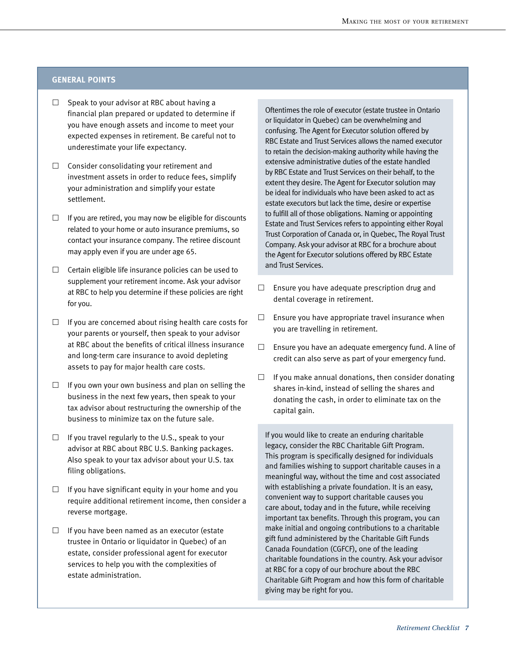#### **General points**

- $\Box$  Speak to your advisor at RBC about having a financial plan prepared or updated to determine if you have enough assets and income to meet your expected expenses in retirement. Be careful not to underestimate your life expectancy.
- $\square$  Consider consolidating your retirement and investment assets in order to reduce fees, simplify your administration and simplify your estate settlement.
- $\Box$  If you are retired, you may now be eligible for discounts related to your home or auto insurance premiums, so contact your insurance company. The retiree discount may apply even if you are under age 65.
- $\Box$  Certain eligible life insurance policies can be used to supplement your retirement income. Ask your advisor at RBC to help you determine if these policies are right for you.
- $\Box$  If you are concerned about rising health care costs for your parents or yourself, then speak to your advisor at RBC about the benefits of critical illness insurance and long-term care insurance to avoid depleting assets to pay for major health care costs.
- $\Box$  If you own your own business and plan on selling the business in the next few years, then speak to your tax advisor about restructuring the ownership of the business to minimize tax on the future sale.
- $\Box$  If you travel regularly to the U.S., speak to your advisor at RBC about RBC U.S. Banking packages. Also speak to your tax advisor about your U.S. tax filing obligations.
- $\Box$  If you have significant equity in your home and you require additional retirement income, then consider a reverse mortgage.
- $\Box$  If you have been named as an executor (estate trustee in Ontario or liquidator in Quebec) of an estate, consider professional agent for executor services to help you with the complexities of estate administration.

Oftentimes the role of executor (estate trustee in Ontario or liquidator in Quebec) can be overwhelming and confusing. The Agent for Executor solution offered by RBC Estate and Trust Services allows the named executor to retain the decision-making authority while having the extensive administrative duties of the estate handled by RBC Estate and Trust Services on their behalf, to the extent they desire. The Agent for Executor solution may be ideal for individuals who have been asked to act as estate executors but lack the time, desire or expertise to fulfill all of those obligations. Naming or appointing Estate and Trust Services refers to appointing either Royal Trust Corporation of Canada or, in Quebec, The Royal Trust Company. Ask your advisor at RBC for a brochure about the Agent for Executor solutions offered by RBC Estate and Trust Services.

- $\square$  Ensure you have adequate prescription drug and dental coverage in retirement.
- $\square$  Ensure you have appropriate travel insurance when you are travelling in retirement.
- $\square$  Ensure you have an adequate emergency fund. A line of credit can also serve as part of your emergency fund.
- $\Box$  If you make annual donations, then consider donating shares in-kind, instead of selling the shares and donating the cash, in order to eliminate tax on the capital gain.

If you would like to create an enduring charitable legacy, consider the RBC Charitable Gift Program. This program is specifically designed for individuals and families wishing to support charitable causes in a meaningful way, without the time and cost associated with establishing a private foundation. It is an easy, convenient way to support charitable causes you care about, today and in the future, while receiving important tax benefits. Through this program, you can make initial and ongoing contributions to a charitable gift fund administered by the Charitable Gift Funds Canada Foundation (CGFCF), one of the leading charitable foundations in the country. Ask your advisor at RBC for a copy of our brochure about the RBC Charitable Gift Program and how this form of charitable giving may be right for you.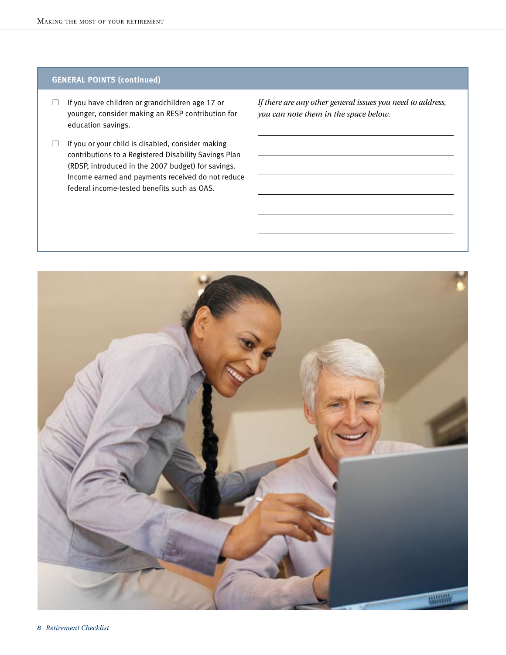# **General points (continued)**

- $\Box$  If you have children or grandchildren age 17 or younger, consider making an RESP contribution for education savings.
- $\Box$  If you or your child is disabled, consider making contributions to a Registered Disability Savings Plan (RDSP, introduced in the 2007 budget) for savings. Income earned and payments received do not reduce federal income-tested benefits such as OAS.

*If there are any other general issues you need to address, you can note them in the space below.*

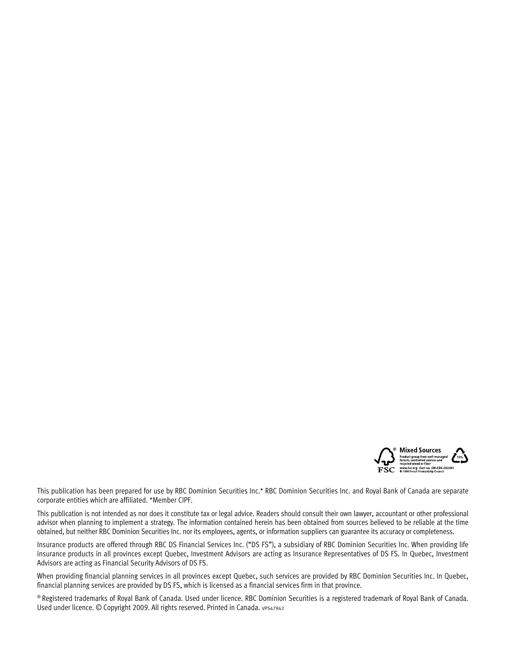

This publication has been prepared for use by RBC Dominion Securities Inc.\* RBC Dominion Securities Inc. and Royal Bank of Canada are separate corporate entities which are affiliated. \*Member CIPF.

This publication is not intended as nor does it constitute tax or legal advice. Readers should consult their own lawyer, accountant or other professional advisor when planning to implement a strategy. The information contained herein has been obtained from sources believed to be reliable at the time obtained, but neither RBC Dominion Securities Inc. nor its employees, agents, or information suppliers can guarantee its accuracy or completeness.

Insurance products are offered through RBC DS Financial Services Inc. ("DS FS"), a subsidiary of RBC Dominion Securities Inc. When providing life insurance products in all provinces except Quebec, Investment Advisors are acting as Insurance Representatives of DS FS. In Quebec, Investment Advisors are acting as Financial Security Advisors of DS FS.

When providing financial planning services in all provinces except Quebec, such services are provided by RBC Dominion Securities Inc. In Quebec, financial planning services are provided by DS FS, which is licensed as a financial services firm in that province.

® Registered trademarks of Royal Bank of Canada. Used under licence. RBC Dominion Securities is a registered trademark of Royal Bank of Canada. Used under licence. © Copyright 2009. All rights reserved. Printed in Canada. vPS47942